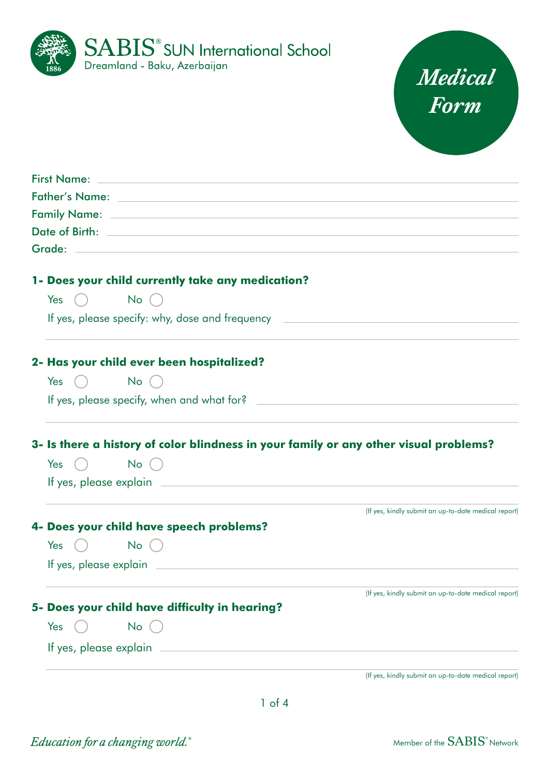



| <b>First Name:</b><br><u> 1989 - Johann Stein, mars an deutscher Stein und der Stein und der Stein und der Stein und der Stein und der</u>                                                                                               |                                                      |
|------------------------------------------------------------------------------------------------------------------------------------------------------------------------------------------------------------------------------------------|------------------------------------------------------|
| Father's Name: Name: 2008 2014 2022 2023 2024 2022 2023 2024 2022 2023 2024 2022 2023 2024 2022 2023 2024 2022                                                                                                                           |                                                      |
|                                                                                                                                                                                                                                          |                                                      |
| Date of Birth: <u>Date of Birth:</u> The Contract of Birth and the Contract of Birth: <b>Date of Birth:</b> The Contract of Birth and the Contract of Birth and the Contract of Birth and the Contract of Birth and the Contract of Birt |                                                      |
|                                                                                                                                                                                                                                          |                                                      |
| 1- Does your child currently take any medication?                                                                                                                                                                                        |                                                      |
| Yes $\bigcap$ No $\bigcap$                                                                                                                                                                                                               |                                                      |
| If yes, please specify: why, dose and frequency                                                                                                                                                                                          |                                                      |
| 2- Has your child ever been hospitalized?                                                                                                                                                                                                |                                                      |
| Yes $()$ No $()$                                                                                                                                                                                                                         |                                                      |
| If yes, please specify, when and what for?                                                                                                                                                                                               |                                                      |
| 3- Is there a history of color blindness in your family or any other visual problems?                                                                                                                                                    |                                                      |
| Yes $()$ No $()$                                                                                                                                                                                                                         |                                                      |
|                                                                                                                                                                                                                                          |                                                      |
|                                                                                                                                                                                                                                          |                                                      |
| 4- Does your child have speech problems?                                                                                                                                                                                                 | (If yes, kindly submit an up-to-date medical report) |
| $No$ $()$<br>Yes<br>$\begin{pmatrix} 1 & 1 \\ 1 & 1 \end{pmatrix}$                                                                                                                                                                       |                                                      |
|                                                                                                                                                                                                                                          |                                                      |
|                                                                                                                                                                                                                                          | (If yes, kindly submit an up-to-date medical report) |
| 5- Does your child have difficulty in hearing?                                                                                                                                                                                           |                                                      |
| No (<br>Yes                                                                                                                                                                                                                              |                                                      |
| If yes, please explain __                                                                                                                                                                                                                |                                                      |
|                                                                                                                                                                                                                                          | (If yes, kindly submit an up-to-date medical report) |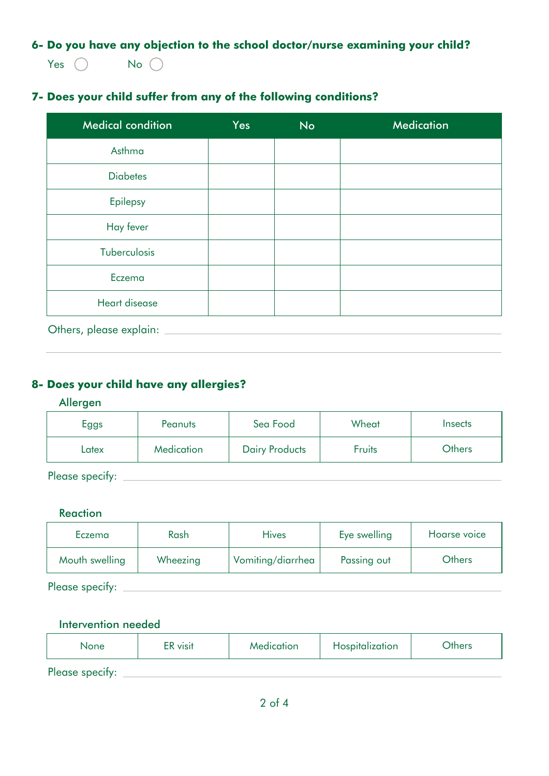**6- Do you have any objection to the school doctor/nurse examining your child?**

Yes  $\bigcap$  No  $\bigcap$ 

# **7- Does your child suffer from any of the following conditions?**

| <b>Medical condition</b> | <b>Yes</b> | <b>No</b> | <b>Medication</b> |
|--------------------------|------------|-----------|-------------------|
| Asthma                   |            |           |                   |
| <b>Diabetes</b>          |            |           |                   |
| Epilepsy                 |            |           |                   |
| Hay fever                |            |           |                   |
| Tuberculosis             |            |           |                   |
| Eczema                   |            |           |                   |
| Heart disease            |            |           |                   |

Others, please explain:

# **8- Does your child have any allergies?**

#### Allergen

| Eggs            | Peanuts    | Sea Food              | Wheat  | <i><u><b>Insects</b></u></i> |
|-----------------|------------|-----------------------|--------|------------------------------|
| Latex           | Medication | <b>Dairy Products</b> | Fruits | <b>Others</b>                |
| Please specify: |            |                       |        |                              |

### **Reaction**

| Eczema          | Rash     | <b>Hives</b>      | Eye swelling | Hoarse voice  |
|-----------------|----------|-------------------|--------------|---------------|
| Mouth swelling  | Wheezing | Vomiting/diarrhea | Passing out  | <b>Others</b> |
| Please specify: |          |                   |              |               |

#### Intervention needed

| None            | ER visit | Medication | Hospitalization | <b>Others</b> |
|-----------------|----------|------------|-----------------|---------------|
| Please specify: |          |            |                 |               |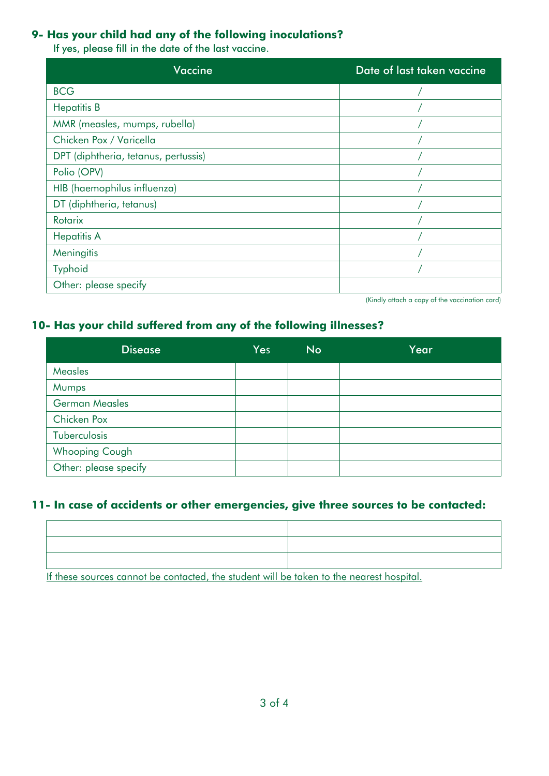### **9- Has your child had any of the following inoculations?**

If yes, please fill in the date of the last vaccine.

| <b>Vaccine</b>                       | Date of last taken vaccine |
|--------------------------------------|----------------------------|
| <b>BCG</b>                           |                            |
| <b>Hepatitis B</b>                   |                            |
| MMR (measles, mumps, rubella)        |                            |
| Chicken Pox / Varicella              |                            |
| DPT (diphtheria, tetanus, pertussis) |                            |
| Polio (OPV)                          |                            |
| HIB (haemophilus influenza)          |                            |
| DT (diphtheria, tetanus)             |                            |
| Rotarix                              |                            |
| <b>Hepatitis A</b>                   |                            |
| Meningitis                           |                            |
| Typhoid                              |                            |
| Other: please specify                |                            |

(Kindly attach a copy of the vaccination card)

## **10- Has your child suffered from any of the following illnesses?**

| <b>Disease</b>        | Yes | <b>No</b> | Year |
|-----------------------|-----|-----------|------|
| <b>Measles</b>        |     |           |      |
| Mumps                 |     |           |      |
| <b>German Measles</b> |     |           |      |
| Chicken Pox           |     |           |      |
| Tuberculosis          |     |           |      |
| <b>Whooping Cough</b> |     |           |      |
| Other: please specify |     |           |      |

## **11- In case of accidents or other emergencies, give three sources to be contacted:**

If these sources cannot be contacted, the student will be taken to the nearest hospital.